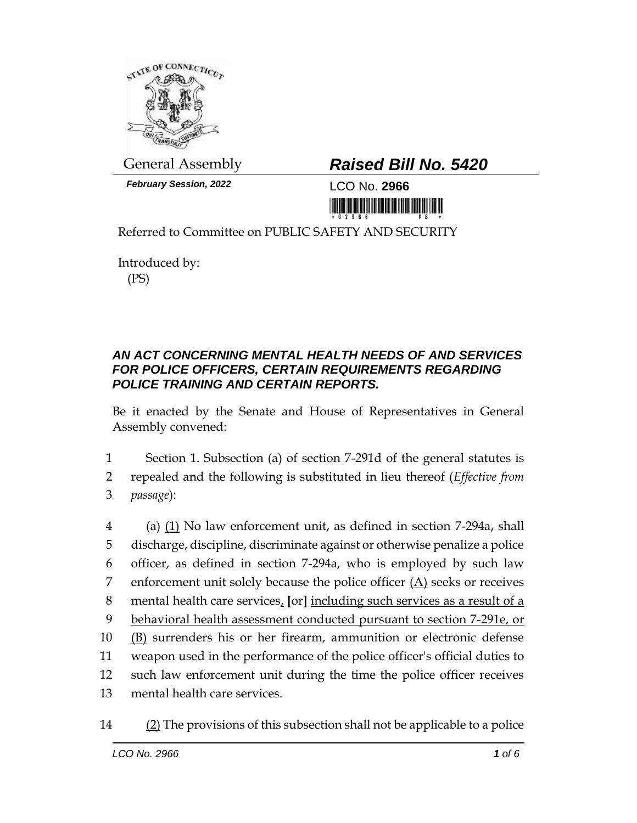

*February Session, 2022* LCO No. **2966**

## General Assembly *Raised Bill No. 5420*

<u>ni ini ini ini kata matamati ini m</u>

Referred to Committee on PUBLIC SAFETY AND SECURITY

Introduced by: (PS)

## *AN ACT CONCERNING MENTAL HEALTH NEEDS OF AND SERVICES FOR POLICE OFFICERS, CERTAIN REQUIREMENTS REGARDING POLICE TRAINING AND CERTAIN REPORTS.*

Be it enacted by the Senate and House of Representatives in General Assembly convened:

1 Section 1. Subsection (a) of section 7-291d of the general statutes is 2 repealed and the following is substituted in lieu thereof (*Effective from*  3 *passage*):

 (a) (1) No law enforcement unit, as defined in section 7-294a, shall discharge, discipline, discriminate against or otherwise penalize a police officer, as defined in section 7-294a, who is employed by such law 7 enforcement unit solely because the police officer  $(A)$  seeks or receives mental health care services, **[**or**]** including such services as a result of a 9 behavioral health assessment conducted pursuant to section 7-291e, or (B) surrenders his or her firearm, ammunition or electronic defense weapon used in the performance of the police officer's official duties to such law enforcement unit during the time the police officer receives mental health care services.

<sup>14 (2)</sup> The provisions of this subsection shall not be applicable to a police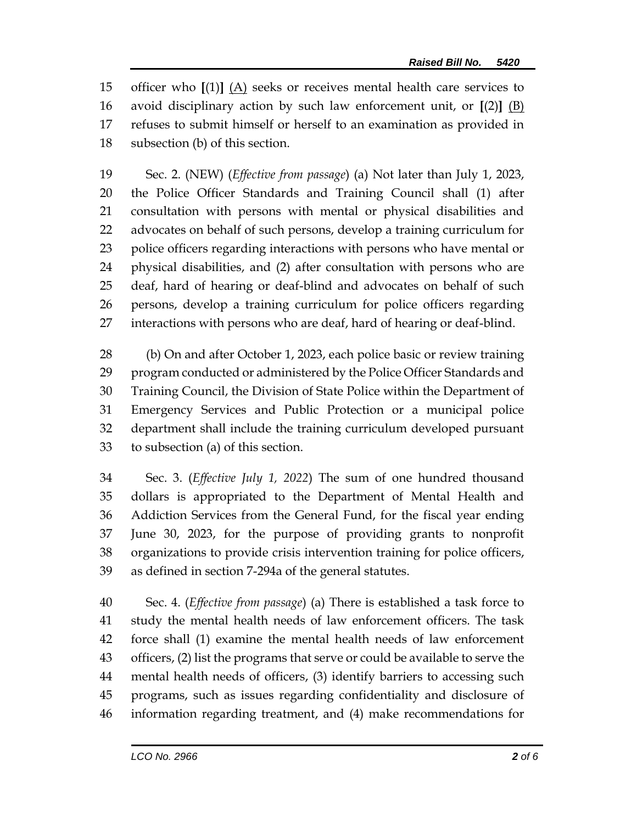officer who **[**(1)**]** (A) seeks or receives mental health care services to avoid disciplinary action by such law enforcement unit, or **[**(2)**]** (B) refuses to submit himself or herself to an examination as provided in subsection (b) of this section.

 Sec. 2. (NEW) (*Effective from passage*) (a) Not later than July 1, 2023, the Police Officer Standards and Training Council shall (1) after consultation with persons with mental or physical disabilities and advocates on behalf of such persons, develop a training curriculum for police officers regarding interactions with persons who have mental or physical disabilities, and (2) after consultation with persons who are deaf, hard of hearing or deaf-blind and advocates on behalf of such persons, develop a training curriculum for police officers regarding interactions with persons who are deaf, hard of hearing or deaf-blind.

 (b) On and after October 1, 2023, each police basic or review training program conducted or administered by the Police Officer Standards and Training Council, the Division of State Police within the Department of Emergency Services and Public Protection or a municipal police department shall include the training curriculum developed pursuant to subsection (a) of this section.

 Sec. 3. (*Effective July 1, 2022*) The sum of one hundred thousand dollars is appropriated to the Department of Mental Health and Addiction Services from the General Fund, for the fiscal year ending June 30, 2023, for the purpose of providing grants to nonprofit organizations to provide crisis intervention training for police officers, as defined in section 7-294a of the general statutes.

 Sec. 4. (*Effective from passage*) (a) There is established a task force to study the mental health needs of law enforcement officers. The task force shall (1) examine the mental health needs of law enforcement officers, (2) list the programs that serve or could be available to serve the mental health needs of officers, (3) identify barriers to accessing such programs, such as issues regarding confidentiality and disclosure of information regarding treatment, and (4) make recommendations for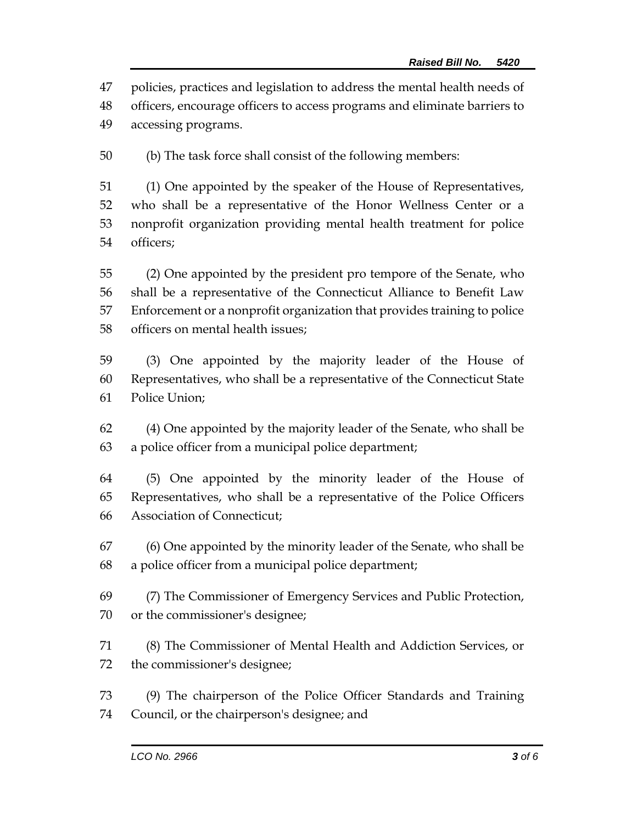policies, practices and legislation to address the mental health needs of

 officers, encourage officers to access programs and eliminate barriers to accessing programs.

(b) The task force shall consist of the following members:

 (1) One appointed by the speaker of the House of Representatives, who shall be a representative of the Honor Wellness Center or a nonprofit organization providing mental health treatment for police officers;

 (2) One appointed by the president pro tempore of the Senate, who shall be a representative of the Connecticut Alliance to Benefit Law Enforcement or a nonprofit organization that provides training to police officers on mental health issues;

 (3) One appointed by the majority leader of the House of Representatives, who shall be a representative of the Connecticut State Police Union;

 (4) One appointed by the majority leader of the Senate, who shall be a police officer from a municipal police department;

 (5) One appointed by the minority leader of the House of Representatives, who shall be a representative of the Police Officers Association of Connecticut;

 (6) One appointed by the minority leader of the Senate, who shall be a police officer from a municipal police department;

 (7) The Commissioner of Emergency Services and Public Protection, or the commissioner's designee;

 (8) The Commissioner of Mental Health and Addiction Services, or the commissioner's designee;

 (9) The chairperson of the Police Officer Standards and Training Council, or the chairperson's designee; and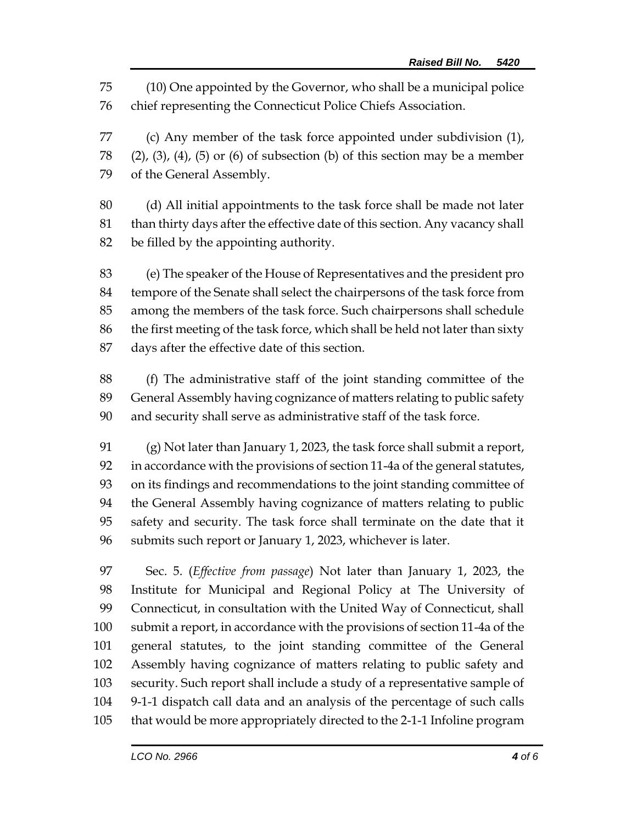(10) One appointed by the Governor, who shall be a municipal police chief representing the Connecticut Police Chiefs Association.

 (c) Any member of the task force appointed under subdivision (1), (2), (3), (4), (5) or (6) of subsection (b) of this section may be a member of the General Assembly.

 (d) All initial appointments to the task force shall be made not later than thirty days after the effective date of this section. Any vacancy shall be filled by the appointing authority.

 (e) The speaker of the House of Representatives and the president pro tempore of the Senate shall select the chairpersons of the task force from among the members of the task force. Such chairpersons shall schedule the first meeting of the task force, which shall be held not later than sixty days after the effective date of this section.

 (f) The administrative staff of the joint standing committee of the General Assembly having cognizance of matters relating to public safety and security shall serve as administrative staff of the task force.

 (g) Not later than January 1, 2023, the task force shall submit a report, in accordance with the provisions of section 11-4a of the general statutes, on its findings and recommendations to the joint standing committee of the General Assembly having cognizance of matters relating to public safety and security. The task force shall terminate on the date that it submits such report or January 1, 2023, whichever is later.

 Sec. 5. (*Effective from passage*) Not later than January 1, 2023, the Institute for Municipal and Regional Policy at The University of Connecticut, in consultation with the United Way of Connecticut, shall submit a report, in accordance with the provisions of section 11-4a of the general statutes, to the joint standing committee of the General Assembly having cognizance of matters relating to public safety and security. Such report shall include a study of a representative sample of 9-1-1 dispatch call data and an analysis of the percentage of such calls that would be more appropriately directed to the 2-1-1 Infoline program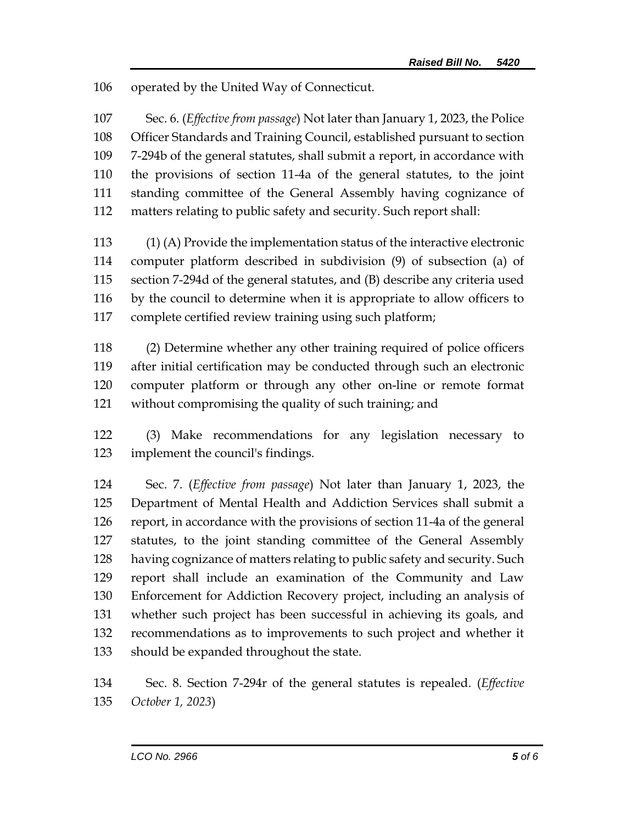operated by the United Way of Connecticut.

 Sec. 6. (*Effective from passage*) Not later than January 1, 2023, the Police Officer Standards and Training Council, established pursuant to section 7-294b of the general statutes, shall submit a report, in accordance with the provisions of section 11-4a of the general statutes, to the joint standing committee of the General Assembly having cognizance of matters relating to public safety and security. Such report shall:

 (1) (A) Provide the implementation status of the interactive electronic computer platform described in subdivision (9) of subsection (a) of section 7-294d of the general statutes, and (B) describe any criteria used by the council to determine when it is appropriate to allow officers to complete certified review training using such platform;

 (2) Determine whether any other training required of police officers after initial certification may be conducted through such an electronic computer platform or through any other on-line or remote format without compromising the quality of such training; and

 (3) Make recommendations for any legislation necessary to implement the council's findings.

 Sec. 7. (*Effective from passage*) Not later than January 1, 2023, the Department of Mental Health and Addiction Services shall submit a report, in accordance with the provisions of section 11-4a of the general statutes, to the joint standing committee of the General Assembly having cognizance of matters relating to public safety and security. Such report shall include an examination of the Community and Law Enforcement for Addiction Recovery project, including an analysis of whether such project has been successful in achieving its goals, and recommendations as to improvements to such project and whether it should be expanded throughout the state.

 Sec. 8. Section 7-294r of the general statutes is repealed. (*Effective October 1, 2023*)